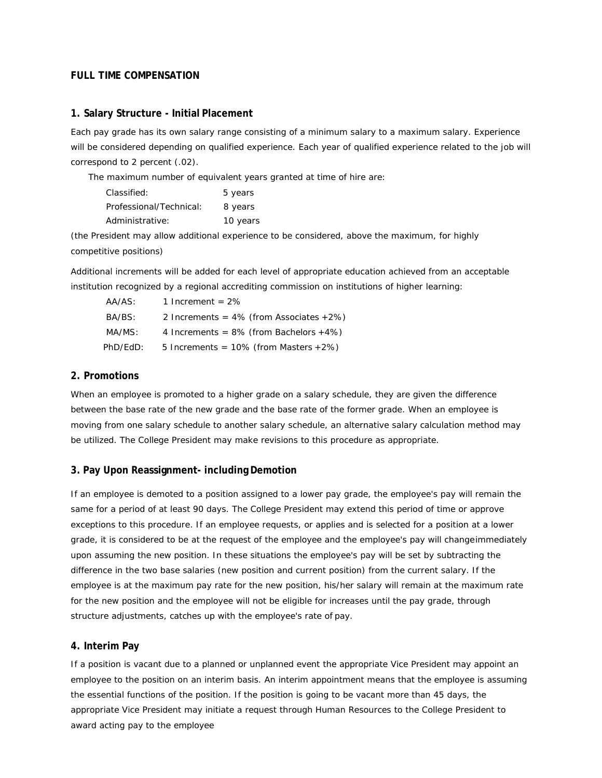# **FULL TIME COMPENSATION**

### **1. Salary Structure - Initial Placement**

Each pay grade has its own salary range consisting of a minimum salary to a maximum salary. Experience will be considered depending on qualified experience. Each year of qualified experience related to the job will correspond to 2 percent (.02).

The maximum number of equivalent years granted at time of hire are:

| Classified:             | 5 years  |
|-------------------------|----------|
| Professional/Technical: | 8 years  |
| Administrative:         | 10 years |

(the President may allow additional experience to be considered, above the maximum, for highly competitive positions)

Additional increments will be added for each level of appropriate education achieved from an acceptable institution recognized by a regional accrediting commission on institutions of higher learning:

| AA/AS:   | 1 Increment = $2\%$                        |
|----------|--------------------------------------------|
| BA/BS:   | 2 Increments = $4\%$ (from Associates +2%) |
| MA/MS:   | 4 Increments = $8\%$ (from Bachelors +4%)  |
| PhD/EdD: | 5 Increments = $10\%$ (from Masters +2%)   |

## **2. Promotions**

When an employee is promoted to a higher grade on a salary schedule, they are given the difference between the base rate of the new grade and the base rate of the former grade. When an employee is moving from one salary schedule to another salary schedule, an alternative salary calculation method may be utilized. The College President may make revisions to this procedure as appropriate.

## **3. Pay Upon Reassignment- including Demotion**

If an employee is demoted to a position assigned to a lower pay grade, the employee's pay will remain the same for a period of at least 90 days. The College President may extend this period of time or approve exceptions to this procedure. If an employee requests, or applies and is selected for a position at a lower grade, it is considered to be at the request of the employee and the employee's pay will changeimmediately upon assuming the new position. In these situations the employee's pay will be set by subtracting the difference in the two base salaries (new position and current position) from the current salary. If the employee is at the maximum pay rate for the new position, his/her salary will remain at the maximum rate for the new position and the employee will not be eligible for increases until the pay grade, through structure adjustments, catches up with the employee's rate of pay.

## **4. Interim Pay**

If a position is vacant due to a planned or unplanned event the appropriate Vice President may appoint an employee to the position on an interim basis. An interim appointment means that the employee is assuming the essential functions of the position. If the position is going to be vacant more than 45 days, the appropriate Vice President may initiate a request through Human Resources to the College President to award acting pay to the employee